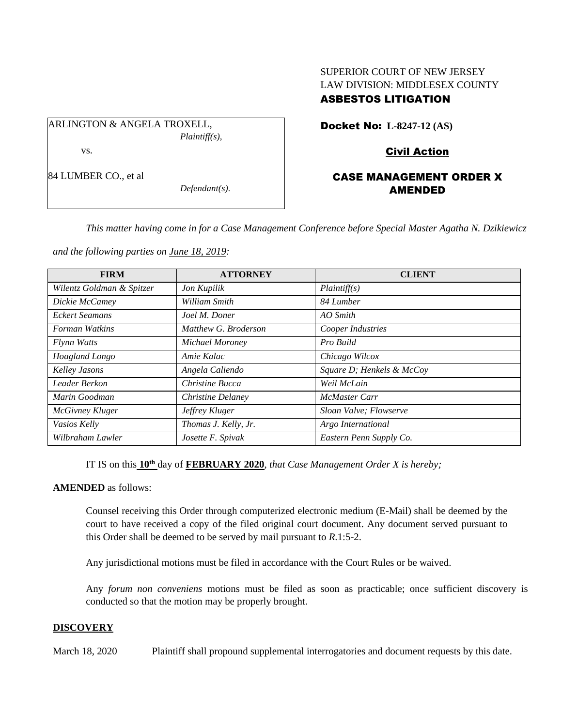# SUPERIOR COURT OF NEW JERSEY LAW DIVISION: MIDDLESEX COUNTY ASBESTOS LITIGATION

ARLINGTON & ANGELA TROXELL, *Plaintiff(s),* vs.

84 LUMBER CO., et al

Docket No: **L-8247-12 (AS)** 

Civil Action

# CASE MANAGEMENT ORDER X AMENDED

*This matter having come in for a Case Management Conference before Special Master Agatha N. Dzikiewicz* 

*and the following parties on June 18, 2019:*

*Defendant(s).*

| <b>FIRM</b>               | <b>ATTORNEY</b>      | <b>CLIENT</b>             |
|---------------------------|----------------------|---------------------------|
| Wilentz Goldman & Spitzer | Jon Kupilik          | Plaintiff(s)              |
| Dickie McCamey            | William Smith        | 84 Lumber                 |
| <b>Eckert Seamans</b>     | Joel M. Doner        | AO Smith                  |
| Forman Watkins            | Matthew G. Broderson | Cooper Industries         |
| Flynn Watts               | Michael Moroney      | Pro Build                 |
| Hoagland Longo            | Amie Kalac           | Chicago Wilcox            |
| Kelley Jasons             | Angela Caliendo      | Square D; Henkels & McCoy |
| Leader Berkon             | Christine Bucca      | Weil McLain               |
| Marin Goodman             | Christine Delaney    | <b>McMaster Carr</b>      |
| <b>McGivney Kluger</b>    | Jeffrey Kluger       | Sloan Valve; Flowserve    |
| Vasios Kelly              | Thomas J. Kelly, Jr. | Argo International        |
| Wilbraham Lawler          | Josette F. Spivak    | Eastern Penn Supply Co.   |

IT IS on this **10th** day of **FEBRUARY 2020**, *that Case Management Order X is hereby;*

**AMENDED** as follows:

Counsel receiving this Order through computerized electronic medium (E-Mail) shall be deemed by the court to have received a copy of the filed original court document. Any document served pursuant to this Order shall be deemed to be served by mail pursuant to *R*.1:5-2.

Any jurisdictional motions must be filed in accordance with the Court Rules or be waived.

Any *forum non conveniens* motions must be filed as soon as practicable; once sufficient discovery is conducted so that the motion may be properly brought.

#### **DISCOVERY**

March 18, 2020 Plaintiff shall propound supplemental interrogatories and document requests by this date.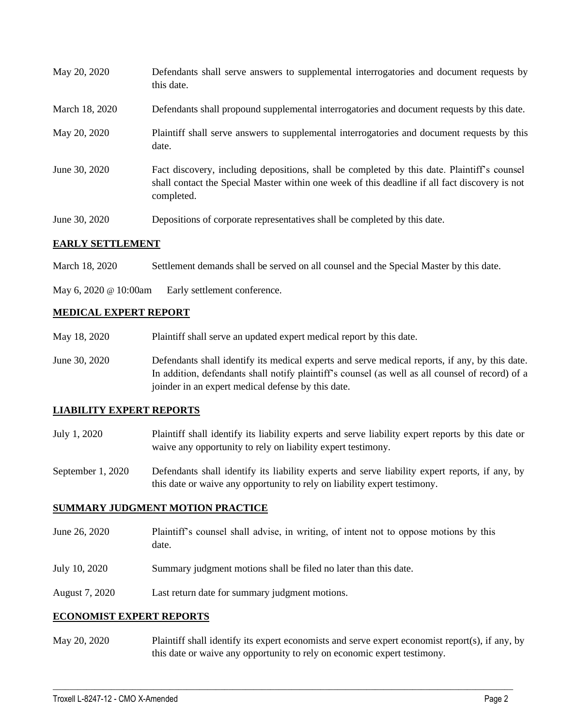| May 20, 2020            | Defendants shall serve answers to supplemental interrogatories and document requests by<br>this date.                                                                                                       |
|-------------------------|-------------------------------------------------------------------------------------------------------------------------------------------------------------------------------------------------------------|
| March 18, 2020          | Defendants shall propound supplemental interrogatories and document requests by this date.                                                                                                                  |
| May 20, 2020            | Plaintiff shall serve answers to supplemental interrogatories and document requests by this<br>date.                                                                                                        |
| June 30, 2020           | Fact discovery, including depositions, shall be completed by this date. Plaintiff's counsel<br>shall contact the Special Master within one week of this deadline if all fact discovery is not<br>completed. |
| June 30, 2020           | Depositions of corporate representatives shall be completed by this date.                                                                                                                                   |
| <b>EARLY SETTLEMENT</b> |                                                                                                                                                                                                             |

March 18, 2020 Settlement demands shall be served on all counsel and the Special Master by this date.

May 6, 2020 @ 10:00am Early settlement conference.

## **MEDICAL EXPERT REPORT**

- May 18, 2020 Plaintiff shall serve an updated expert medical report by this date.
- June 30, 2020 Defendants shall identify its medical experts and serve medical reports, if any, by this date. In addition, defendants shall notify plaintiff's counsel (as well as all counsel of record) of a joinder in an expert medical defense by this date.

### **LIABILITY EXPERT REPORTS**

- July 1, 2020 Plaintiff shall identify its liability experts and serve liability expert reports by this date or waive any opportunity to rely on liability expert testimony.
- September 1, 2020 Defendants shall identify its liability experts and serve liability expert reports, if any, by this date or waive any opportunity to rely on liability expert testimony.

### **SUMMARY JUDGMENT MOTION PRACTICE**

- June 26, 2020 Plaintiff's counsel shall advise, in writing, of intent not to oppose motions by this date.
- July 10, 2020 Summary judgment motions shall be filed no later than this date.
- August 7, 2020 Last return date for summary judgment motions.

### **ECONOMIST EXPERT REPORTS**

May 20, 2020 Plaintiff shall identify its expert economists and serve expert economist report(s), if any, by this date or waive any opportunity to rely on economic expert testimony.

 $\_$  , and the set of the set of the set of the set of the set of the set of the set of the set of the set of the set of the set of the set of the set of the set of the set of the set of the set of the set of the set of th